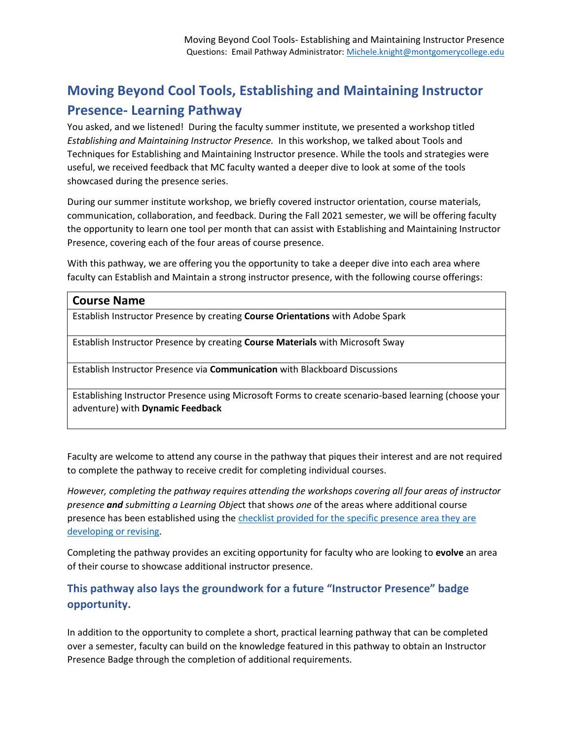## **Moving Beyond Cool Tools, Establishing and Maintaining Instructor Presence- Learning Pathway**

You asked, and we listened! During the faculty summer institute, we presented a workshop titled *Establishing and Maintaining Instructor Presence.* In this workshop, we talked about Tools and Techniques for Establishing and Maintaining Instructor presence. While the tools and strategies were useful, we received feedback that MC faculty wanted a deeper dive to look at some of the tools showcased during the presence series.

During our summer institute workshop, we briefly covered instructor orientation, course materials, communication, collaboration, and feedback. During the Fall 2021 semester, we will be offering faculty the opportunity to learn one tool per month that can assist with Establishing and Maintaining Instructor Presence, covering each of the four areas of course presence.

With this pathway, we are offering you the opportunity to take a deeper dive into each area where faculty can Establish and Maintain a strong instructor presence, with the following course offerings:

## **Course Name**

Establish Instructor Presence by creating **Course Orientations** with Adobe Spark

Establish Instructor Presence by creating **Course Materials** with Microsoft Sway

Establish Instructor Presence via **Communication** with Blackboard Discussions

Establishing Instructor Presence using Microsoft Forms to create scenario-based learning (choose your adventure) with **Dynamic Feedback**

Faculty are welcome to attend any course in the pathway that piques their interest and are not required to complete the pathway to receive credit for completing individual courses.

*However, completing the pathway requires attending the workshops covering all four areas of instructor presence and submitting a Learning Obje*ct that shows *one* of the areas where additional course presence has been established using the [checklist provided for the specific presence area they are](https://www.mnklearndesign.com/presence/checklist.html)  [developing or revising.](https://www.mnklearndesign.com/presence/checklist.html)

Completing the pathway provides an exciting opportunity for faculty who are looking to **evolve** an area of their course to showcase additional instructor presence.

## **This pathway also lays the groundwork for a future "Instructor Presence" badge opportunity.**

In addition to the opportunity to complete a short, practical learning pathway that can be completed over a semester, faculty can build on the knowledge featured in this pathway to obtain an Instructor Presence Badge through the completion of additional requirements.